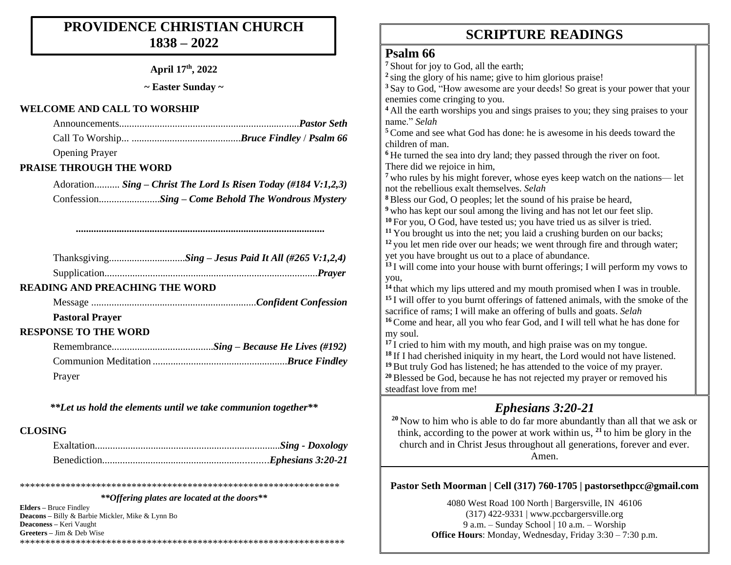#### **PROVIDENCE CHRISTIAN CHURCH 1838 – 2022**

**April 17th, 2022**

**~ Easter Sunday ~**

#### **WELCOME AND CALL TO WORSHIP**

| <b>Opening Prayer</b> |  |
|-----------------------|--|

#### **PRAISE THROUGH THE WORD**

Adoration.......... *Sing – Christ The Lord Is Risen Today (#184 V:1,2,3)* Confession........................*Sing – Come Behold The Wondrous Mystery*

*..................................................................................................*

#### **READING AND PREACHING THE WORD**

Message .................................................................*Confident Confession*

#### **Pastoral Prayer**

#### **RESPONSE TO THE WORD**

| Prayer |  |
|--------|--|

*\*\*Let us hold the elements until we take communion together\*\**

#### **CLOSING**

\*\*\*\*\*\*\*\*\*\*\*\*\*\*\*\*\*\*\*\*\*\*\*\*\*\*\*\*\*\*\*\*\*\*\*\*\*\*\*\*\*\*\*\*\*\*\*\*\*\*\*\*\*\*\*\*\*\*\*\*\*\*\* *\*\*Offering plates are located at the doors\*\**

**Elders –** Bruce Findley **Deacons –** Billy & Barbie Mickler, Mike & Lynn Bo **Deaconess –** Keri Vaught **Greeters –** Jim & Deb Wise \*\*\*\*\*\*\*\*\*\*\*\*\*\*\*\*\*\*\*\*\*\*\*\*\*\*\*\*\*\*\*\*\*\*\*\*\*\*\*\*\*\*\*\*\*\*\*\*\*\*\*\*\*\*\*\*\*\*\*\*\*\*\*\*

### **SCRIPTURE READINGS SCRIPTURE READINGS**

#### **Psalm 66**

**<sup>7</sup>** Shout for joy to God, all the earth; <sup>2</sup> sing the glory of his name; give to him glorious praise! **<sup>3</sup>** Say to God, "How awesome are your deeds! So great is your power that your enemies come cringing to you. **<sup>4</sup>** All the earth worships you and sings praises to you; they sing praises to your name." *Selah* **<sup>5</sup>** Come and see what God has done: he is awesome in his deeds toward the children of man. **<sup>6</sup>** He turned the sea into dry land; they passed through the river on foot. There did we rejoice in him, **<sup>7</sup>** who rules by his might forever, whose eyes keep watch on the nations— let not the rebellious exalt themselves. *Selah* **<sup>8</sup>** Bless our God, O peoples; let the sound of his praise be heard, **<sup>9</sup>** who has kept our soul among the living and has not let our feet slip. **<sup>10</sup>** For you, O God, have tested us; you have tried us as silver is tried. <sup>11</sup> You brought us into the net; you laid a crushing burden on our backs; <sup>12</sup> you let men ride over our heads; we went through fire and through water; yet you have brought us out to a place of abundance. **<sup>13</sup>** I will come into your house with burnt offerings; I will perform my vows to you, **<sup>14</sup>** that which my lips uttered and my mouth promised when I was in trouble. **<sup>15</sup>** I will offer to you burnt offerings of fattened animals, with the smoke of the sacrifice of rams; I will make an offering of bulls and goats. *Selah* **<sup>16</sup>** Come and hear, all you who fear God, and I will tell what he has done for my soul. <sup>17</sup> I cried to him with my mouth, and high praise was on my tongue. **<sup>18</sup>** If I had cherished iniquity in my heart, the Lord would not have listened. **<sup>19</sup>** But truly God has listened; he has attended to the voice of my prayer. **<sup>20</sup>** Blessed be God, because he has not rejected my prayer or removed his steadfast love from me!

#### *Ephesians 3:20-21*

**<sup>20</sup>** Now to him who is able to do far more abundantly than all that we ask or think, according to the power at work within us, **<sup>21</sup>** to him be glory in the church and in Christ Jesus throughout all generations, forever and ever. Amen.

#### **Pastor Seth Moorman | Cell (317) 760-1705 | pastorsethpcc@gmail.com**

4080 West Road 100 North | Bargersville, IN 46106 (317) 422-9331 | www.pccbargersville.org 9 a.m. – Sunday School | 10 a.m. – Worship **Office Hours**: Monday, Wednesday, Friday 3:30 – 7:30 p.m.